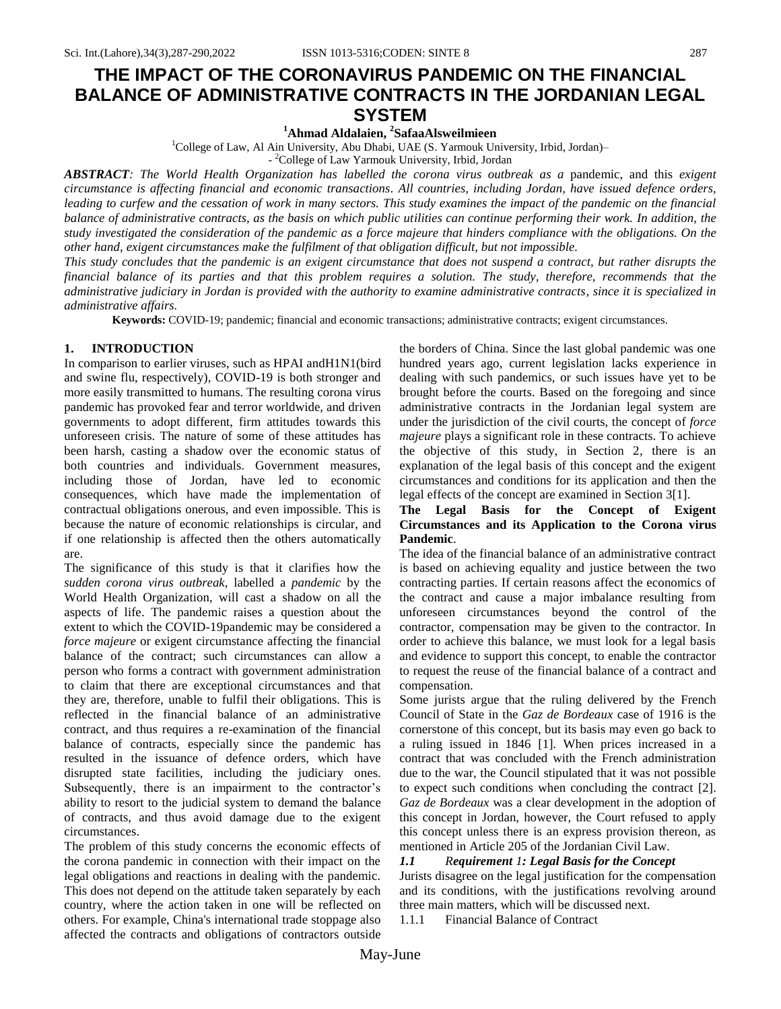# **THE IMPACT OF THE CORONAVIRUS PANDEMIC ON THE FINANCIAL BALANCE OF ADMINISTRATIVE CONTRACTS IN THE JORDANIAN LEGAL SYSTEM <sup>1</sup>Ahmad Aldalaien, 2 SafaaAlsweilmieen**

<sup>1</sup>College of Law, Al Ain University, Abu Dhabi, UAE (S. Yarmouk University, Irbid, Jordan)–

- <sup>2</sup>College of Law Yarmouk University, Irbid, Jordan

*ABSTRACT: The World Health Organization has labelled the corona virus outbreak as a* pandemic, and this *exigent circumstance is affecting financial and economic transactions. All countries, including Jordan, have issued defence orders, leading to curfew and the cessation of work in many sectors. This study examines the impact of the pandemic on the financial balance of administrative contracts, as the basis on which public utilities can continue performing their work. In addition, the study investigated the consideration of the pandemic as a force majeure that hinders compliance with the obligations. On the other hand, exigent circumstances make the fulfilment of that obligation difficult, but not impossible.* 

*This study concludes that the pandemic is an exigent circumstance that does not suspend a contract, but rather disrupts the financial balance of its parties and that this problem requires a solution. The study, therefore, recommends that the administrative judiciary in Jordan is provided with the authority to examine administrative contracts, since it is specialized in administrative affairs.* 

**Keywords:** COVID-19; pandemic; financial and economic transactions; administrative contracts; exigent circumstances.

# **1. INTRODUCTION**

In comparison to earlier viruses, such as [HPAI andH](https://context.reverso.net/translation/english-arabic/HPAI+virus)1N1(bird and swine flu, respectively), COVID-19 is both stronger and more easily transmitted to humans. The resulting corona virus pandemic has provoked fear and terror worldwide, and driven governments to adopt different, firm attitudes towards this unforeseen crisis. The nature of some of these attitudes has been harsh, casting a shadow over the economic status of both countries and individuals. Government measures, including those of Jordan, have led to economic consequences, which have made the implementation of contractual obligations onerous, and even impossible. This is because the nature of economic relationships is circular, and if one relationship is affected then the others automatically are.

The significance of this study is that it clarifies how the *sudden corona virus outbreak*, labelled a *pandemic* by the World Health Organization, will cast a shadow on all the aspects of life. The pandemic raises a question about the extent to which the COVID-19pandemic may be considered a *force majeure* or exigent circumstance affecting the financial balance of the contract; such circumstances can allow a person who forms a contract with government administration to claim that there are exceptional circumstances and that they are, therefore, unable to fulfil their obligations. This is reflected in the financial balance of an administrative contract, and thus requires a re-examination of the financial balance of contracts, especially since the pandemic has resulted in the issuance of defence orders, which have disrupted state facilities, including the judiciary ones. Subsequently, there is an impairment to the contractor's ability to resort to the judicial system to demand the balance of contracts, and thus avoid damage due to the exigent circumstances.

The problem of this study concerns the economic effects of the corona pandemic in connection with their impact on the legal obligations and reactions in dealing with the pandemic. This does not depend on the attitude taken separately by each country, where the action taken in one will be reflected on others. For example, China's international trade stoppage also affected the contracts and obligations of contractors outside the borders of China. Since the last global pandemic was one hundred years ago, current legislation lacks experience in dealing with such pandemics, or such issues have yet to be brought before the courts. Based on the foregoing and since administrative contracts in the Jordanian legal system are under the jurisdiction of the civil courts, the concept of *force majeure* plays a significant role in these contracts. To achieve the objective of this study, in Section 2, there is an explanation of the legal basis of this concept and the exigent circumstances and conditions for its application and then the legal effects of the concept are examined in [Section 3\[](#page-2-0)1].

# **The Legal Basis for the Concept of Exigent Circumstances and its Application to the Corona virus Pandemic**.

The idea of the financial balance of an administrative contract is based on achieving equality and justice between the two contracting parties. If certain reasons affect the economics of the contract and cause a major imbalance resulting from unforeseen circumstances beyond the control of the contractor, compensation may be given to the contractor. In order to achieve this balance, we must look for a legal basis and evidence to support this concept, to enable the contractor to request the reuse of the financial balance of a contract and compensation.

Some jurists argue that the ruling delivered by the [French](https://context.reverso.net/translation/english-arabic/French+Council+of+State)  [Council o](https://context.reverso.net/translation/english-arabic/French+Council+of+State)f State in the *Gaz de Bordeaux* case of 1916 is the cornerstone of this concept, but its basis may even go back to a ruling issued in 1846 [1]. When prices increased in a contract that was concluded with the French administration due to the war, the Council stipulated that it was not possible to expect such conditions when concluding the contract [2]. *Gaz de Bordeaux* was a clear development in the adoption of this concept in Jordan, however, the Court refused to apply this concept unless there is an express provision thereon, as mentioned in Article 205 of the Jordanian Civil Law.

# *1.1 Requirement 1: Legal Basis for the Concept*

Jurists disagree on the legal justification for the compensation and its conditions, with the justifications revolving around three main matters, which will be discussed next. 1.1.1 Financial Balance of Contract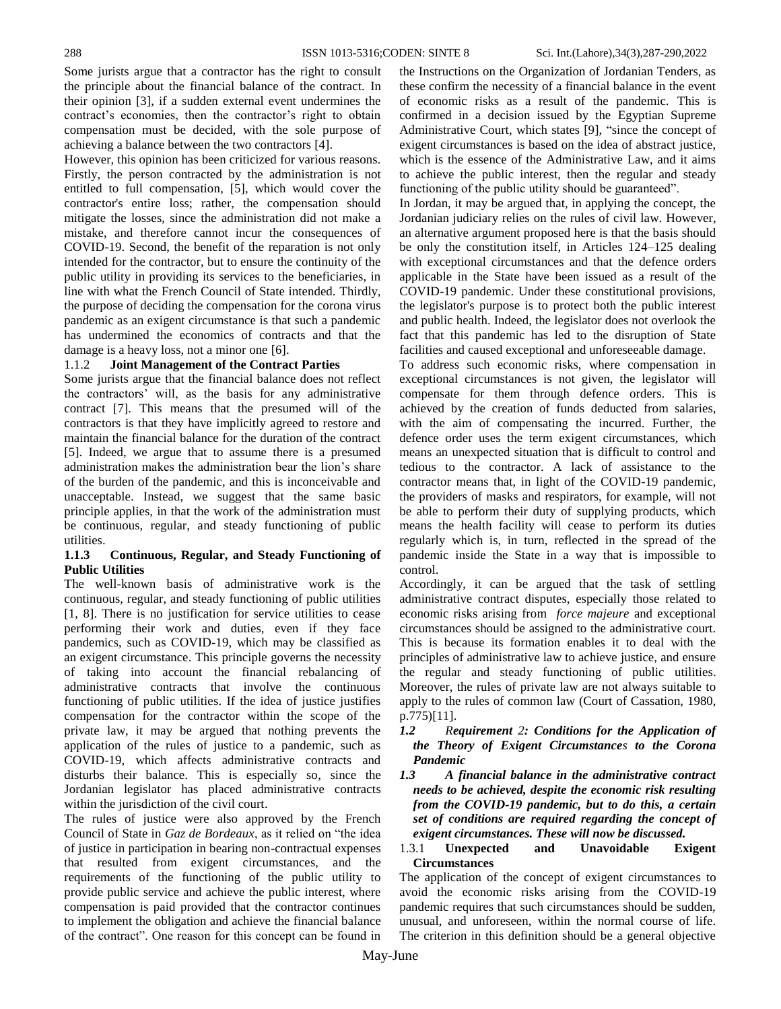Some jurists argue that a contractor has the right to consult the principle about the financial balance of the contract. In their opinion [3], if a sudden external event undermines the contract's economies, then the contractor's right to obtain compensation must be decided, with the sole purpose of achieving a balance between the two contractors [4].

However, this opinion has been criticized for various reasons. Firstly, the person contracted by the administration is not entitled to full compensation, [5], which would cover the contractor's entire loss; rather, the compensation should mitigate the losses, since the administration did not make a mistake, and therefore cannot incur the consequences of COVID-19. Second, the benefit of the reparation is not only intended for the contractor, but to ensure the continuity of the public utility in providing its services to the beneficiaries, in line with what the [French Council o](https://context.reverso.net/translation/english-arabic/French+Council+of+State)f State intended. Thirdly, the purpose of deciding the compensation for the corona virus pandemic as an exigent circumstance is that such a pandemic has undermined the economics of contracts and that the damage is a heavy loss, not a minor one [6].

# 1.1.2 **Joint Management of the Contract Parties**

Some jurists argue that the financial balance does not reflect the contractors' will, as the basis for any administrative contract [7]. This means that the presumed will of the contractors is that they have implicitly agreed to restore and maintain the financial balance for the duration of the contract [5]. Indeed, we argue that to assume there is a presumed administration makes the administration bear the lion's share of the burden of the pandemic, and this is inconceivable and unacceptable. Instead, we suggest that the same basic principle applies, in that the work of the administration must be continuous, regular, and steady functioning of public utilities.

# **1.1.3 Continuous, Regular, and Steady Functioning of Public Utilities**

The well-known basis of administrative work is the continuous, regular, and steady functioning of public utilities [1, 8]. There is no justification for service utilities to cease performing their work and duties, even if they face pandemics, such as COVID-19, which may be classified as an exigent circumstance. This principle governs the necessity of taking into account the financial rebalancing of administrative contracts that involve the continuous functioning of public utilities. If the idea of justice justifies compensation for the contractor within the scope of the private law, it may be argued that nothing prevents the application of the rules of justice to a pandemic, such as COVID-19, which affects administrative contracts and disturbs their balance. This is especially so, since the Jordanian legislator has placed administrative contracts within the jurisdiction of the civil court.

The rules of justice were also approved by the French Council of State in *Gaz de Bordeaux*, as it relied on "the idea of justice in participation in bearing non-contractual expenses that resulted from exigent circumstances, and the requirements of the functioning of the public utility to provide public service and achieve the public interest, where compensation is paid provided that the contractor continues to implement the obligation and achieve the financial balance of the contract". One reason for this concept can be found in the Instructions on the Organization of Jordanian Tenders, as these confirm the necessity of a financial balance in the event of economic risks as a result of the pandemic. This is confirmed in a decision issued by the Egyptian Supreme Administrative Court, which states [9], "since the concept of exigent circumstances is based on the idea of abstract justice, which is the essence of the Administrative Law, and it aims to achieve the public interest, then the regular and steady functioning of the public utility should be guaranteed".

In Jordan, it may be argued that, in applying the concept, the Jordanian judiciary relies on the rules of civil law. However, an alternative argument proposed here is that the basis should be only the constitution itself, in Articles 124–125 dealing with exceptional circumstances and that the defence orders applicable in the State have been issued as a result of the COVID-19 pandemic. Under these constitutional provisions, the legislator's purpose is to protect both the public interest and public health. Indeed, the legislator does not overlook the fact that this pandemic has led to the disruption of State facilities and caused exceptional and unforeseeable damage.

To address such economic risks, where compensation in exceptional circumstances is not given, the legislator will compensate for them through defence orders. This is achieved by the creation of funds deducted from salaries, with the aim of compensating the incurred. Further, the defence order uses the term exigent circumstances, which means an unexpected situation that is difficult to control and tedious to the contractor. A lack of assistance to the contractor means that, in light of the COVID-19 pandemic, the providers of masks and respirators, for example, will not be able to perform their duty of supplying products, which means the health facility will cease to perform its duties regularly which is, in turn, reflected in the spread of the pandemic inside the State in a way that is impossible to control.

Accordingly, it can be argued that the task of settling administrative contract disputes, especially those related to economic risks arising from *force majeure* and exceptional circumstances should be assigned to the administrative court. This is because its formation enables it to deal with the principles of administrative law to achieve justice, and ensure the regular and steady functioning of public utilities. Moreover, the rules of private law are not always suitable to apply to the rules of common law (Court of Cassation, 1980, p.775)[11].

- *1.2 Requirement 2: Conditions for the Application of the Theory of Exigent Circumstances to the Corona Pandemic*
- *1.3 A financial balance in the administrative contract needs to be achieved, despite the economic risk resulting from the COVID-19 pandemic, but to do this, a certain set of conditions are required regarding the concept of exigent circumstances. These will now be discussed.*

# 1.3.1 **Unexpected and Unavoidable Exigent Circumstances**

The application of the concept of exigent circumstances to avoid the economic risks arising from the COVID-19 pandemic requires that such circumstances should be sudden, unusual, and unforeseen, within the normal course of life. The criterion in this definition should be a general objective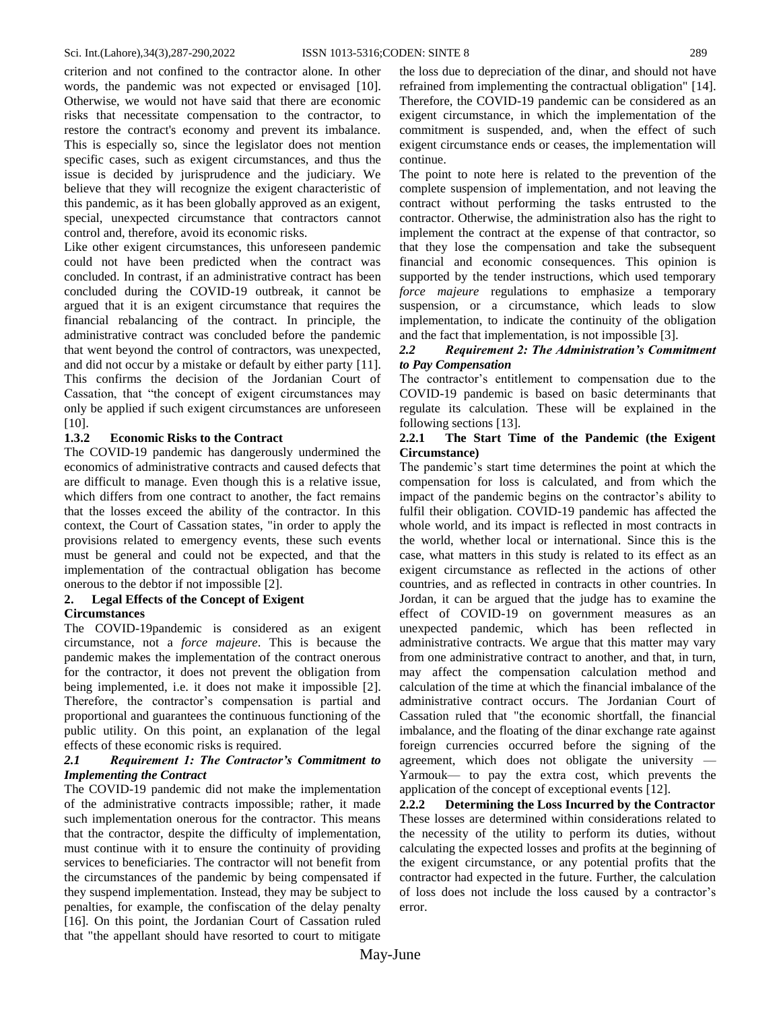criterion and not confined to the contractor alone. In other words, the pandemic was not expected or envisaged [10]. Otherwise, we would not have said that there are economic risks that necessitate compensation to the contractor, to restore the contract's economy and prevent its imbalance. This is especially so, since the legislator does not mention specific cases, such as exigent circumstances, and thus the issue is decided by jurisprudence and the judiciary. We believe that they will recognize the exigent characteristic of this pandemic, as it has been globally approved as an exigent, special, unexpected circumstance that contractors cannot control and, therefore, avoid its economic risks.

Like other exigent circumstances, this unforeseen pandemic could not have been predicted when the contract was concluded. In contrast, if an administrative contract has been concluded during the COVID-19 outbreak, it cannot be argued that it is an exigent circumstance that requires the financial rebalancing of the contract. In principle, the administrative contract was concluded before the pandemic that went beyond the control of contractors, was unexpected, and did not occur by a mistake or default by either party [11]. This confirms the decision of the Jordanian Court of Cassation, that "the concept of exigent circumstances may only be applied if such exigent circumstances are unforeseen [10].

# **1.3.2 Economic Risks to the Contract**

The COVID-19 pandemic has dangerously undermined the economics of administrative contracts and caused defects that are difficult to manage. Even though this is a relative issue, which differs from one contract to another, the fact remains that the losses exceed the ability of the contractor. In this context, the Court of Cassation states, "in order to apply the provisions related to emergency events, these such events must be general and could not be expected, and that the implementation of the contractual obligation has become onerous to the debtor if not impossible [2].

#### <span id="page-2-0"></span>**2. Legal Effects of the Concept of Exigent Circumstances**

The COVID-19pandemic is considered as an exigent circumstance, not a *force majeure*. This is because the pandemic makes the implementation of the contract onerous for the contractor, it does not prevent the obligation from being implemented, i.e. it does not make it impossible [2]. Therefore, the contractor's compensation is partial and proportional and guarantees the continuous functioning of the public utility. On this point, an explanation of the legal effects of these economic risks is required.

#### *2.1 Requirement 1: The Contractor's Commitment to Implementing the Contract*

The COVID-19 pandemic did not make the implementation of the administrative contracts impossible; rather, it made such implementation onerous for the contractor. This means that the contractor, despite the difficulty of implementation, must continue with it to ensure the continuity of providing services to beneficiaries. The contractor will not benefit from the circumstances of the pandemic by being compensated if they suspend implementation. Instead, they may be subject to penalties, for example, the confiscation of the delay penalty [16]. On this point, the Jordanian Court of Cassation ruled that "the appellant should have resorted to court to mitigate

the loss due to depreciation of the dinar, and should not have refrained from implementing the contractual obligation" [14]. Therefore, the COVID-19 pandemic can be considered as an exigent circumstance, in which the implementation of the commitment is suspended, and, when the effect of such exigent circumstance ends or ceases, the implementation will continue.

The point to note here is related to the prevention of the complete suspension of implementation, and not leaving the contract without performing the tasks entrusted to the contractor. Otherwise, the administration also has the right to implement the contract at the expense of that contractor, so that they lose the compensation and take the subsequent financial and economic consequences. This opinion is supported by the tender instructions, which used temporary *force majeure* regulations to emphasize a temporary suspension, or a circumstance, which leads to slow implementation, to indicate the continuity of the obligation and the fact that implementation, is not impossible [3].

# *2.2 Requirement 2: The Administration's Commitment to Pay Compensation*

The contractor's entitlement to compensation due to the COVID-19 pandemic is based on basic determinants that regulate its calculation. These will be explained in the following sections [13].

# **2.2.1 The Start Time of the Pandemic (the Exigent Circumstance)**

The pandemic's start time determines the point at which the compensation for loss is calculated, and from which the impact of the pandemic begins on the contractor's ability to fulfil their obligation. COVID-19 pandemic has affected the whole world, and its impact is reflected in most contracts in the world, whether local or international. Since this is the case, what matters in this study is related to its effect as an exigent circumstance as reflected in the actions of other countries, and as reflected in contracts in other countries. In Jordan, it can be argued that the judge has to examine the effect of COVID-19 on government measures as an unexpected pandemic, which has been reflected in administrative contracts. We argue that this matter may vary from one administrative contract to another, and that, in turn, may affect the compensation calculation method and calculation of the time at which the financial imbalance of the administrative contract occurs. The Jordanian Court of Cassation ruled that "the economic shortfall, the financial imbalance, and the floating of the dinar exchange rate against foreign currencies occurred before the signing of the agreement, which does not obligate the university — Yarmouk— to pay the extra cost, which prevents the application of the concept of exceptional events [12].

**2.2.2 Determining the Loss Incurred by the Contractor** These losses are determined within considerations related to the necessity of the utility to perform its duties, without calculating the expected losses and profits at the beginning of the exigent circumstance, or any potential profits that the contractor had expected in the future. Further, the calculation of loss does not include the loss caused by a contractor's error.